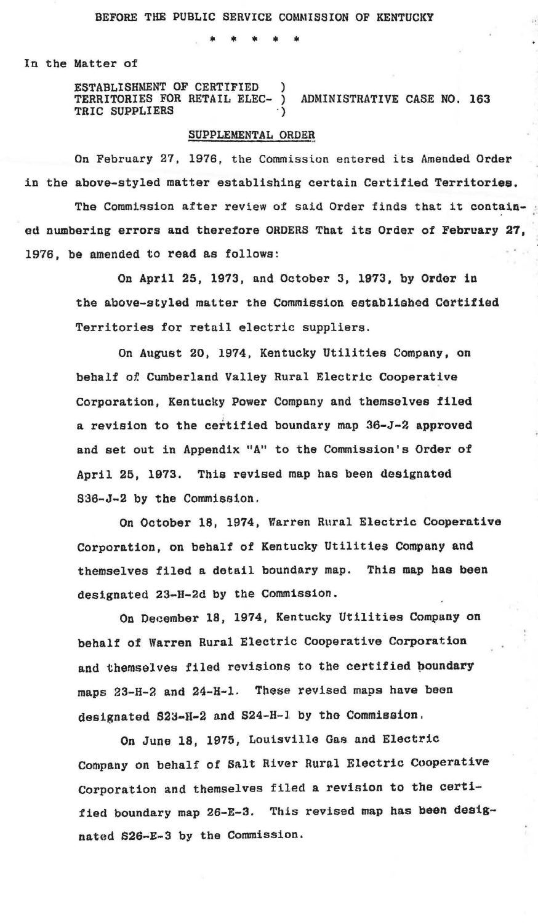• \* \* • •

In the Matter of

ESTABLISHMENT OF CERTIFIED ) TERRITORIES FOR RETAIL ELEC- ) ADMINISTRATIVE CASE NO. 163 TRIC SUPPLIERS

## SUPPLEMENTAL ORDER

On February 27, 1976, the Commission entered its Amended Order in the above-styled matter establishing certain Certified Territories.

The Commission after review of said Order finds that it contained numbering errors and therefore ORDERS That its Order of February 27, 1976, be amended to read as follows:

On April 25, 1973, and October 3, 1973, by Order in the above-styled matter the Commission established Certified Territories for retail electric suppliers.

On August 20, 1974, Kentucky Utilities Company, on behalf of. Cumberland Valley Rural Electric Cooperative Corporation, Kentucky Power Company and themselves filed a revision to the certified boundary map 36-J-2 approved and set out in Appendix "A" to the Commission's Order of April 25, 1973. This revised map has been designated 836-J-2 by the Commission.

On October 18, 1974, Warren Rural Electric Cooperative Corporation, on behalf of Kentucky Utilities Company and themselves filed a detail boundary map. This map has been designated 23-H-2d by the Commission.

On December 18, 1974, Kentucky Utilities Company on behalf of Warren Rural Electric Cooperative Corporation and themselves filed revisions to the certified boundary maps 23-H-2 and 24-H-l. These revised maps have been designated 823-H-2 and 824-H-1 by the Commission.

On June 18, 1975, Louisville Gas and Electric Company on behalf of Salt River Rural Electric Cooperative corporation and themselves filed a revision to the certified boundary map 26-E-3. This revised map has been designated S2G~E-3 by the Commission.